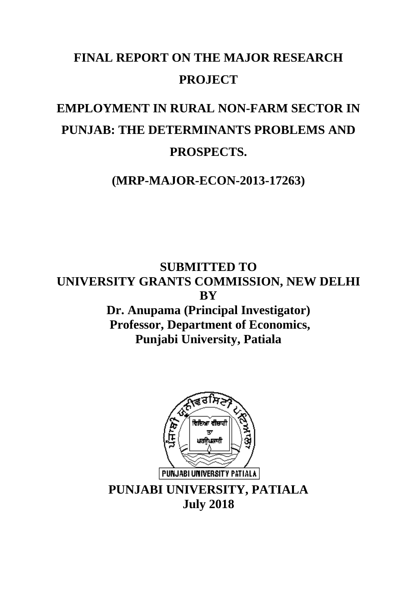## **FINAL REPORT ON THE MAJOR RESEARCH PROJECT**

# **EMPLOYMENT IN RURAL NON-FARM SECTOR IN PUNJAB: THE DETERMINANTS PROBLEMS AND PROSPECTS.**

**(MRP-MAJOR-ECON-2013-17263)**

**SUBMITTED TO UNIVERSITY GRANTS COMMISSION, NEW DELHI BY Dr. Anupama (Principal Investigator) Professor, Department of Economics, Punjabi University, Patiala**

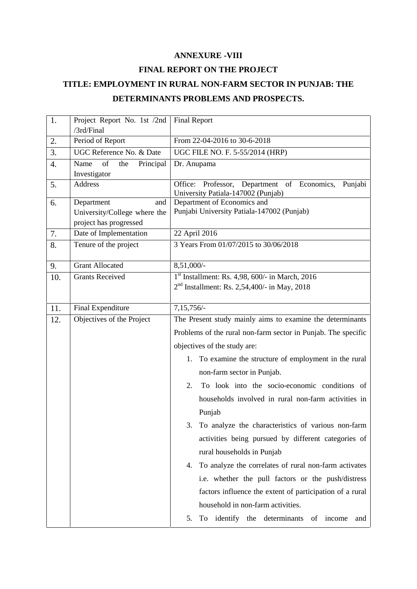#### **ANNEXURE -VIII**

#### **FINAL REPORT ON THE PROJECT**

### **TITLE: EMPLOYMENT IN RURAL NON-FARM SECTOR IN PUNJAB: THE DETERMINANTS PROBLEMS AND PROSPECTS.**

| 1.  | Project Report No. 1st /2nd    | <b>Final Report</b>                                           |
|-----|--------------------------------|---------------------------------------------------------------|
|     | /3rd/Final                     |                                                               |
| 2.  | Period of Report               | From 22-04-2016 to 30-6-2018                                  |
| 3.  | UGC Reference No. & Date       | UGC FILE NO. F. 5-55/2014 (HRP)                               |
| 4.  | Name<br>of<br>the<br>Principal | Dr. Anupama                                                   |
| 5.  | Investigator<br>Address        | Office:<br>Professor, Department of Economics,<br>Punjabi     |
|     |                                | University Patiala-147002 (Punjab)                            |
| 6.  | Department<br>and              | Department of Economics and                                   |
|     | University/College where the   | Punjabi University Patiala-147002 (Punjab)                    |
|     | project has progressed         |                                                               |
| 7.  | Date of Implementation         | 22 April 2016                                                 |
| 8.  | Tenure of the project          | 3 Years From 01/07/2015 to 30/06/2018                         |
| 9.  | <b>Grant Allocated</b>         | 8,51,000/-                                                    |
| 10. | <b>Grants Received</b>         | $1st$ Installment: Rs. 4,98, 600/- in March, 2016             |
|     |                                | $2nd$ Installment: Rs. 2,54,400/- in May, 2018                |
|     |                                |                                                               |
| 11. | <b>Final Expenditure</b>       | 7,15,756/-                                                    |
| 12. | Objectives of the Project      | The Present study mainly aims to examine the determinants     |
|     |                                | Problems of the rural non-farm sector in Punjab. The specific |
|     |                                | objectives of the study are:                                  |
|     |                                | 1. To examine the structure of employment in the rural        |
|     |                                | non-farm sector in Punjab.                                    |
|     |                                | To look into the socio-economic conditions of<br>2.           |
|     |                                | households involved in rural non-farm activities in           |
|     |                                |                                                               |
|     |                                | Punjab                                                        |
|     |                                | To analyze the characteristics of various non-farm<br>3.      |
|     |                                | activities being pursued by different categories of           |
|     |                                | rural households in Punjab                                    |
|     |                                | To analyze the correlates of rural non-farm activates<br>4.   |
|     |                                | i.e. whether the pull factors or the push/distress            |
|     |                                | factors influence the extent of participation of a rural      |
|     |                                | household in non-farm activities.                             |
|     |                                | To identify the determinants of income<br>5.<br>and           |
|     |                                |                                                               |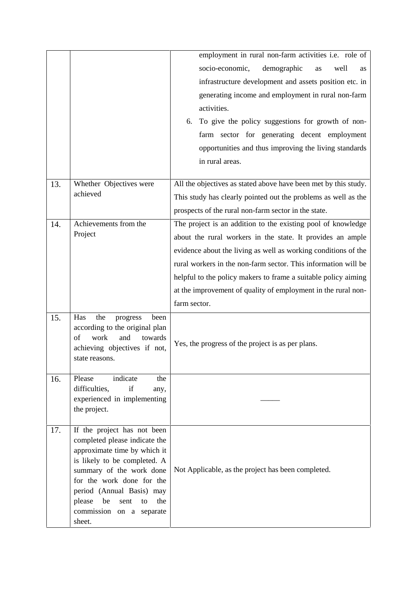|     |                                                                                                                                                                                                                                                                                               | employment in rural non-farm activities i.e. role of<br>demographic<br>socio-economic,<br>well<br>as<br><b>as</b><br>infrastructure development and assets position etc. in<br>generating income and employment in rural non-farm<br>activities.<br>6. To give the policy suggestions for growth of non-<br>farm sector for generating decent employment                                                          |
|-----|-----------------------------------------------------------------------------------------------------------------------------------------------------------------------------------------------------------------------------------------------------------------------------------------------|-------------------------------------------------------------------------------------------------------------------------------------------------------------------------------------------------------------------------------------------------------------------------------------------------------------------------------------------------------------------------------------------------------------------|
|     |                                                                                                                                                                                                                                                                                               | opportunities and thus improving the living standards<br>in rural areas.                                                                                                                                                                                                                                                                                                                                          |
| 13. | Whether Objectives were<br>achieved                                                                                                                                                                                                                                                           | All the objectives as stated above have been met by this study.<br>This study has clearly pointed out the problems as well as the<br>prospects of the rural non-farm sector in the state.                                                                                                                                                                                                                         |
| 14. | Achievements from the<br>Project                                                                                                                                                                                                                                                              | The project is an addition to the existing pool of knowledge<br>about the rural workers in the state. It provides an ample<br>evidence about the living as well as working conditions of the<br>rural workers in the non-farm sector. This information will be<br>helpful to the policy makers to frame a suitable policy aiming<br>at the improvement of quality of employment in the rural non-<br>farm sector. |
| 15. | Has<br>the<br>been<br>progress<br>according to the original plan<br>of<br>work<br>and<br>towards<br>achieving objectives if not,<br>state reasons.                                                                                                                                            | Yes, the progress of the project is as per plans.                                                                                                                                                                                                                                                                                                                                                                 |
| 16. | indicate<br>Please<br>the<br>if<br>difficulties,<br>any,<br>experienced in implementing<br>the project.                                                                                                                                                                                       |                                                                                                                                                                                                                                                                                                                                                                                                                   |
| 17. | If the project has not been<br>completed please indicate the<br>approximate time by which it<br>is likely to be completed. A<br>summary of the work done<br>for the work done for the<br>period (Annual Basis) may<br>please<br>be<br>the<br>sent<br>to<br>commission on a separate<br>sheet. | Not Applicable, as the project has been completed.                                                                                                                                                                                                                                                                                                                                                                |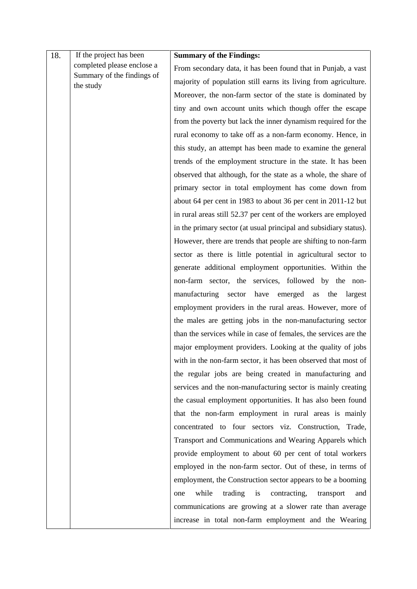| 18. | If the project has been                 | <b>Summary of the Findings:</b>                                   |
|-----|-----------------------------------------|-------------------------------------------------------------------|
|     | completed please enclose a              | From secondary data, it has been found that in Punjab, a vast     |
|     | Summary of the findings of<br>the study | majority of population still earns its living from agriculture.   |
|     |                                         | Moreover, the non-farm sector of the state is dominated by        |
|     |                                         | tiny and own account units which though offer the escape          |
|     |                                         | from the poverty but lack the inner dynamism required for the     |
|     |                                         | rural economy to take off as a non-farm economy. Hence, in        |
|     |                                         | this study, an attempt has been made to examine the general       |
|     |                                         | trends of the employment structure in the state. It has been      |
|     |                                         | observed that although, for the state as a whole, the share of    |
|     |                                         | primary sector in total employment has come down from             |
|     |                                         | about 64 per cent in 1983 to about 36 per cent in 2011-12 but     |
|     |                                         | in rural areas still 52.37 per cent of the workers are employed   |
|     |                                         | in the primary sector (at usual principal and subsidiary status). |
|     |                                         | However, there are trends that people are shifting to non-farm    |
|     |                                         | sector as there is little potential in agricultural sector to     |
|     |                                         | generate additional employment opportunities. Within the          |
|     |                                         | non-farm sector, the services, followed by the non-               |
|     |                                         | manufacturing sector have emerged as the<br>largest               |
|     |                                         | employment providers in the rural areas. However, more of         |
|     |                                         | the males are getting jobs in the non-manufacturing sector        |
|     |                                         | than the services while in case of females, the services are the  |
|     |                                         | major employment providers. Looking at the quality of jobs        |
|     |                                         | with in the non-farm sector, it has been observed that most of    |
|     |                                         | the regular jobs are being created in manufacturing and           |
|     |                                         | services and the non-manufacturing sector is mainly creating      |
|     |                                         | the casual employment opportunities. It has also been found       |
|     |                                         | that the non-farm employment in rural areas is mainly             |
|     |                                         | concentrated to four sectors viz. Construction, Trade,            |
|     |                                         | Transport and Communications and Wearing Apparels which           |
|     |                                         | provide employment to about 60 per cent of total workers          |
|     |                                         | employed in the non-farm sector. Out of these, in terms of        |
|     |                                         | employment, the Construction sector appears to be a booming       |
|     |                                         | while<br>trading<br>contracting,<br>is<br>transport<br>one<br>and |
|     |                                         | communications are growing at a slower rate than average          |
|     |                                         | increase in total non-farm employment and the Wearing             |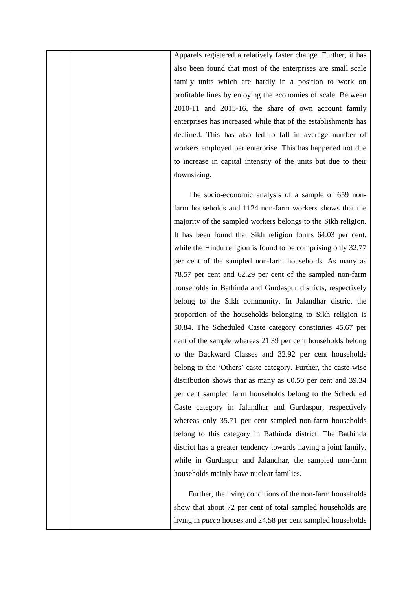Apparels registered a relatively faster change. Further, it has also been found that most of the enterprises are small scale family units which are hardly in a position to work on profitable lines by enjoying the economies of scale. Between 2010-11 and 2015-16, the share of own account family enterprises has increased while that of the establishments has declined. This has also led to fall in average number of workers employed per enterprise. This has happened not due to increase in capital intensity of the units but due to their downsizing.

The socio-economic analysis of a sample of 659 nonfarm households and 1124 non-farm workers shows that the majority of the sampled workers belongs to the Sikh religion. It has been found that Sikh religion forms 64.03 per cent, while the Hindu religion is found to be comprising only 32.77 per cent of the sampled non-farm households. As many as 78.57 per cent and 62.29 per cent of the sampled non-farm households in Bathinda and Gurdaspur districts, respectively belong to the Sikh community. In Jalandhar district the proportion of the households belonging to Sikh religion is 50.84. The Scheduled Caste category constitutes 45.67 per cent of the sample whereas 21.39 per cent households belong to the Backward Classes and 32.92 per cent households belong to the 'Others' caste category. Further, the caste-wise distribution shows that as many as 60.50 per cent and 39.34 per cent sampled farm households belong to the Scheduled Caste category in Jalandhar and Gurdaspur, respectively whereas only 35.71 per cent sampled non-farm households belong to this category in Bathinda district. The Bathinda district has a greater tendency towards having a joint family, while in Gurdaspur and Jalandhar, the sampled non-farm households mainly have nuclear families.

Further, the living conditions of the non-farm households show that about 72 per cent of total sampled households are living in *pucca* houses and 24.58 per cent sampled households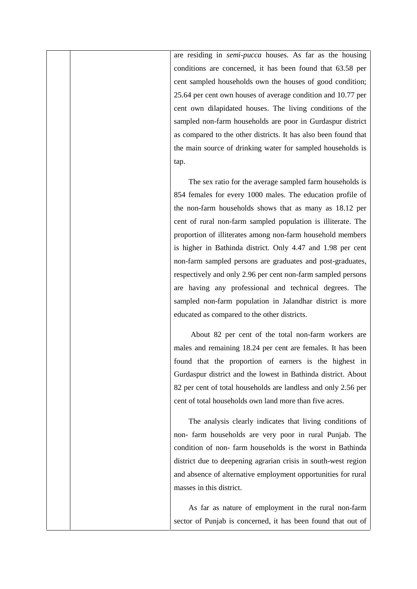are residing in *semi-pucca* houses. As far as the housing conditions are concerned, it has been found that 63.58 per cent sampled households own the houses of good condition; 25.64 per cent own houses of average condition and 10.77 per cent own dilapidated houses. The living conditions of the sampled non-farm households are poor in Gurdaspur district as compared to the other districts. It has also been found that the main source of drinking water for sampled households is tap.

The sex ratio for the average sampled farm households is 854 females for every 1000 males. The education profile of the non-farm households shows that as many as 18.12 per cent of rural non-farm sampled population is illiterate. The proportion of illiterates among non-farm household members is higher in Bathinda district. Only 4.47 and 1.98 per cent non-farm sampled persons are graduates and post-graduates, respectively and only 2.96 per cent non-farm sampled persons are having any professional and technical degrees. The sampled non-farm population in Jalandhar district is more educated as compared to the other districts.

About 82 per cent of the total non-farm workers are males and remaining 18.24 per cent are females. It has been found that the proportion of earners is the highest in Gurdaspur district and the lowest in Bathinda district. About 82 per cent of total households are landless and only 2.56 per cent of total households own land more than five acres.

The analysis clearly indicates that living conditions of non- farm households are very poor in rural Punjab. The condition of non- farm households is the worst in Bathinda district due to deepening agrarian crisis in south-west region and absence of alternative employment opportunities for rural masses in this district.

As far as nature of employment in the rural non-farm sector of Punjab is concerned, it has been found that out of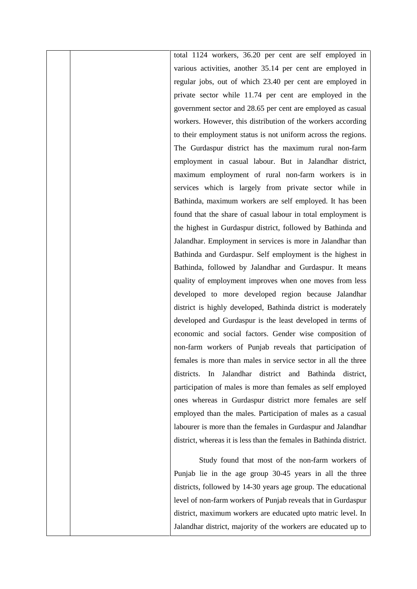total 1124 workers, 36.20 per cent are self employed in various activities, another 35.14 per cent are employed in regular jobs, out of which 23.40 per cent are employed in private sector while 11.74 per cent are employed in the government sector and 28.65 per cent are employed as casual workers. However, this distribution of the workers according to their employment status is not uniform across the regions. The Gurdaspur district has the maximum rural non-farm employment in casual labour. But in Jalandhar district, maximum employment of rural non-farm workers is in services which is largely from private sector while in Bathinda, maximum workers are self employed. It has been found that the share of casual labour in total employment is the highest in Gurdaspur district, followed by Bathinda and Jalandhar. Employment in services is more in Jalandhar than Bathinda and Gurdaspur. Self employment is the highest in Bathinda, followed by Jalandhar and Gurdaspur. It means quality of employment improves when one moves from less developed to more developed region because Jalandhar district is highly developed, Bathinda district is moderately developed and Gurdaspur is the least developed in terms of economic and social factors. Gender wise composition of non-farm workers of Punjab reveals that participation of females is more than males in service sector in all the three districts. In Jalandhar district and Bathinda district, participation of males is more than females as self employed ones whereas in Gurdaspur district more females are self employed than the males. Participation of males as a casual labourer is more than the females in Gurdaspur and Jalandhar district, whereas it is less than the females in Bathinda district.

Study found that most of the non-farm workers of Punjab lie in the age group 30-45 years in all the three districts, followed by 14-30 years age group. The educational level of non-farm workers of Punjab reveals that in Gurdaspur district, maximum workers are educated upto matric level. In Jalandhar district, majority of the workers are educated up to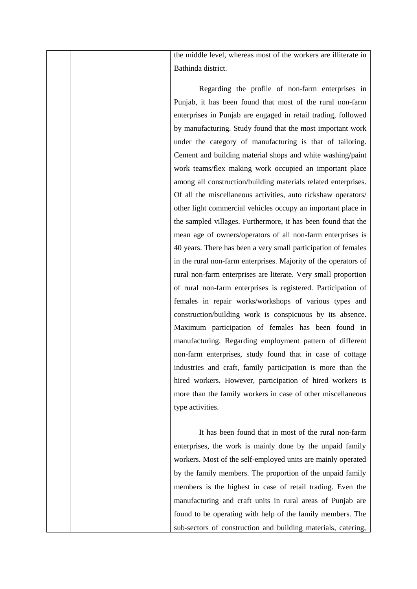the middle level, whereas most of the workers are illiterate in Bathinda district.

Regarding the profile of non-farm enterprises in Punjab, it has been found that most of the rural non-farm enterprises in Punjab are engaged in retail trading, followed by manufacturing. Study found that the most important work under the category of manufacturing is that of tailoring. Cement and building material shops and white washing/paint work teams/flex making work occupied an important place among all construction/building materials related enterprises. Of all the miscellaneous activities, auto rickshaw operators/ other light commercial vehicles occupy an important place in the sampled villages. Furthermore, it has been found that the mean age of owners/operators of all non-farm enterprises is 40 years. There has been a very small participation of females in the rural non-farm enterprises. Majority of the operators of rural non-farm enterprises are literate. Very small proportion of rural non-farm enterprises is registered. Participation of females in repair works/workshops of various types and construction/building work is conspicuous by its absence. Maximum participation of females has been found in manufacturing. Regarding employment pattern of different non-farm enterprises, study found that in case of cottage industries and craft, family participation is more than the hired workers. However, participation of hired workers is more than the family workers in case of other miscellaneous type activities.

It has been found that in most of the rural non-farm enterprises, the work is mainly done by the unpaid family workers. Most of the self-employed units are mainly operated by the family members. The proportion of the unpaid family members is the highest in case of retail trading. Even the manufacturing and craft units in rural areas of Punjab are found to be operating with help of the family members. The sub-sectors of construction and building materials, catering,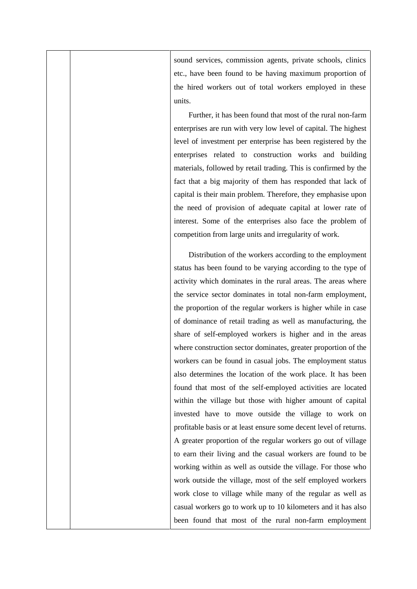sound services, commission agents, private schools, clinics etc., have been found to be having maximum proportion of the hired workers out of total workers employed in these units.

Further, it has been found that most of the rural non-farm enterprises are run with very low level of capital. The highest level of investment per enterprise has been registered by the enterprises related to construction works and building materials, followed by retail trading. This is confirmed by the fact that a big majority of them has responded that lack of capital is their main problem. Therefore, they emphasise upon the need of provision of adequate capital at lower rate of interest. Some of the enterprises also face the problem of competition from large units and irregularity of work.

Distribution of the workers according to the employment status has been found to be varying according to the type of activity which dominates in the rural areas. The areas where the service sector dominates in total non-farm employment, the proportion of the regular workers is higher while in case of dominance of retail trading as well as manufacturing, the share of self-employed workers is higher and in the areas where construction sector dominates, greater proportion of the workers can be found in casual jobs. The employment status also determines the location of the work place. It has been found that most of the self-employed activities are located within the village but those with higher amount of capital invested have to move outside the village to work on profitable basis or at least ensure some decent level of returns. A greater proportion of the regular workers go out of village to earn their living and the casual workers are found to be working within as well as outside the village. For those who work outside the village, most of the self employed workers work close to village while many of the regular as well as casual workers go to work up to 10 kilometers and it has also been found that most of the rural non-farm employment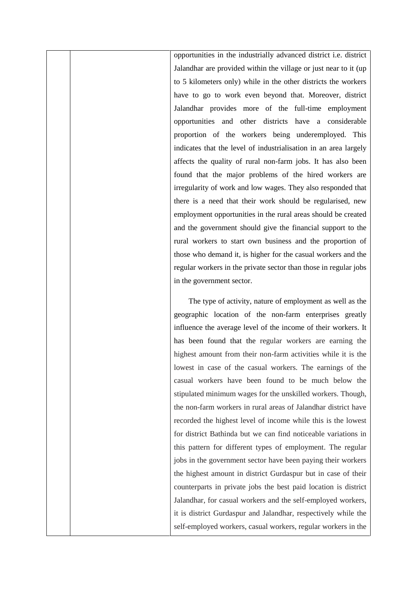opportunities in the industrially advanced district i.e. district Jalandhar are provided within the village or just near to it (up to 5 kilometers only) while in the other districts the workers have to go to work even beyond that. Moreover, district Jalandhar provides more of the full-time employment opportunities and other districts have a considerable proportion of the workers being underemployed. This indicates that the level of industrialisation in an area largely affects the quality of rural non-farm jobs. It has also been found that the major problems of the hired workers are irregularity of work and low wages. They also responded that there is a need that their work should be regularised, new employment opportunities in the rural areas should be created and the government should give the financial support to the rural workers to start own business and the proportion of those who demand it, is higher for the casual workers and the regular workers in the private sector than those in regular jobs in the government sector.

The type of activity, nature of employment as well as the geographic location of the non-farm enterprises greatly influence the average level of the income of their workers. It has been found that the regular workers are earning the highest amount from their non-farm activities while it is the lowest in case of the casual workers. The earnings of the casual workers have been found to be much below the stipulated minimum wages for the unskilled workers. Though, the non-farm workers in rural areas of Jalandhar district have recorded the highest level of income while this is the lowest for district Bathinda but we can find noticeable variations in this pattern for different types of employment. The regular jobs in the government sector have been paying their workers the highest amount in district Gurdaspur but in case of their counterparts in private jobs the best paid location is district Jalandhar, for casual workers and the self-employed workers, it is district Gurdaspur and Jalandhar, respectively while the self-employed workers, casual workers, regular workers in the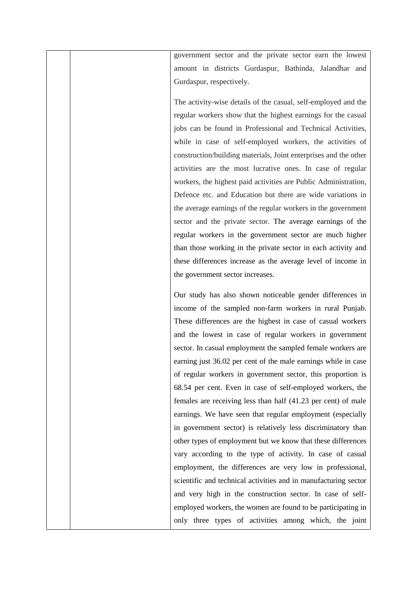government sector and the private sector earn the lowest amount in districts Gurdaspur, Bathinda, Jalandhar and Gurdaspur, respectively.

The activity-wise details of the casual, self-employed and the regular workers show that the highest earnings for the casual jobs can be found in Professional and Technical Activities, while in case of self-employed workers, the activities of construction/building materials, Joint enterprises and the other activities are the most lucrative ones. In case of regular workers, the highest paid activities are Public Administration, Defence etc. and Education but there are wide variations in the average earnings of the regular workers in the government sector and the private sector. The average earnings of the regular workers in the government sector are much higher than those working in the private sector in each activity and these differences increase as the average level of income in the government sector increases.

Our study has also shown noticeable gender differences in income of the sampled non-farm workers in rural Punjab. These differences are the highest in case of casual workers and the lowest in case of regular workers in government sector. In casual employment the sampled female workers are earning just 36.02 per cent of the male earnings while in case of regular workers in government sector, this proportion is 68.54 per cent. Even in case of self-employed workers, the females are receiving less than half (41.23 per cent) of male earnings. We have seen that regular employment (especially in government sector) is relatively less discriminatory than other types of employment but we know that these differences vary according to the type of activity. In case of casual employment, the differences are very low in professional, scientific and technical activities and in manufacturing sector and very high in the construction sector. In case of self employed workers, the women are found to be participating in only three types of activities among which, the joint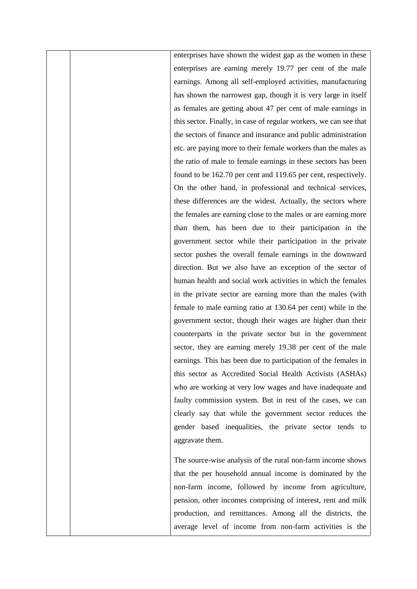enterprises have shown the widest gap as the women in these enterprises are earning merely 19.77 per cent of the male earnings. Among all self-employed activities, manufacturing has shown the narrowest gap, though it is very large in itself as females are getting about 47 per cent of male earnings in this sector. Finally, in case of regular workers, we can see that the sectors of finance and insurance and public administration etc. are paying more to their female workers than the males as the ratio of male to female earnings in these sectors has been found to be 162.70 per cent and 119.65 per cent, respectively. On the other hand, in professional and technical services, these differences are the widest. Actually, the sectors where the females are earning close to the males or are earning more than them, has been due to their participation in the government sector while their participation in the private sector pushes the overall female earnings in the downward direction. But we also have an exception of the sector of human health and social work activities in which the females in the private sector are earning more than the males (with female to male earning ratio at 130.64 per cent) while in the government sector, though their wages are higher than their counterparts in the private sector but in the government sector, they are earning merely 19.38 per cent of the male earnings. This has been due to participation of the females in this sector as Accredited Social Health Activists (ASHAs) who are working at very low wages and have inadequate and faulty commission system. But in rest of the cases, we can clearly say that while the government sector reduces the gender based inequalities, the private sector tends to aggravate them.

The source-wise analysis of the rural non-farm income shows that the per household annual income is dominated by the non-farm income, followed by income from agriculture, pension, other incomes comprising of interest, rent and milk production, and remittances. Among all the districts, the average level of income from non-farm activities is the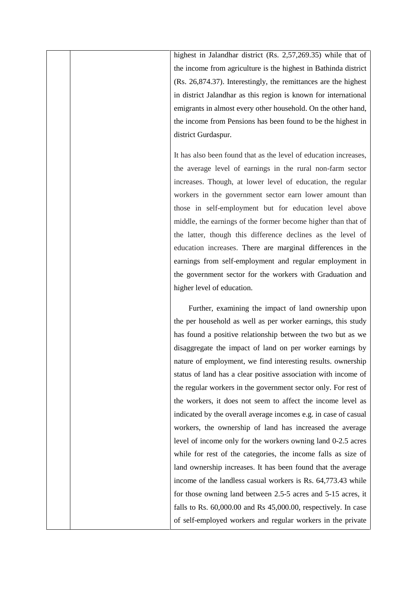highest in Jalandhar district (Rs. 2,57,269.35) while that of the income from agriculture is the highest in Bathinda district (Rs. 26,874.37). Interestingly, the remittances are the highest in district Jalandhar as this region is known for international emigrants in almost every other household. On the other hand, the income from Pensions has been found to be the highest in district Gurdaspur.

It has also been found that as the level of education increases, the average level of earnings in the rural non-farm sector increases. Though, at lower level of education, the regular workers in the government sector earn lower amount than those in self-employment but for education level above middle, the earnings of the former become higher than that of the latter, though this difference declines as the level of education increases. There are marginal differences in the earnings from self-employment and regular employment in the government sector for the workers with Graduation and higher level of education.

Further, examining the impact of land ownership upon the per household as well as per worker earnings, this study has found a positive relationship between the two but as we disaggregate the impact of land on per worker earnings by nature of employment, we find interesting results. ownership status of land has a clear positive association with income of the regular workers in the government sector only. For rest of the workers, it does not seem to affect the income level as indicated by the overall average incomes e.g. in case of casual workers, the ownership of land has increased the average level of income only for the workers owning land 0-2.5 acres while for rest of the categories, the income falls as size of land ownership increases. It has been found that the average income of the landless casual workers is Rs. 64,773.43 while for those owning land between 2.5-5 acres and 5-15 acres, it falls to Rs. 60,000.00 and Rs 45,000.00, respectively. In case of self-employed workers and regular workers in the private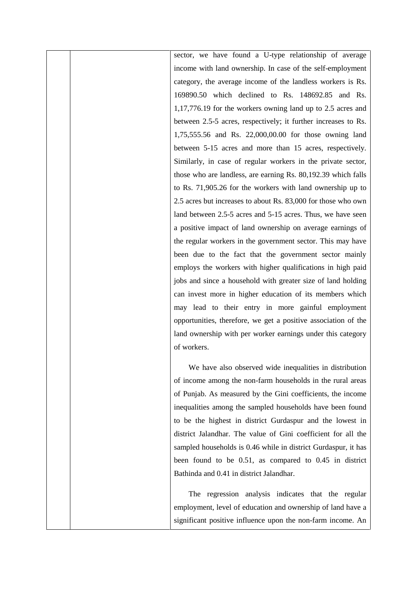sector, we have found a U-type relationship of average income with land ownership. In case of the self-employment category, the average income of the landless workers is Rs. 169890.50 which declined to Rs. 148692.85 and Rs. 1,17,776.19 for the workers owning land up to 2.5 acres and between 2.5-5 acres, respectively; it further increases to Rs. 1,75,555.56 and Rs. 22,000,00.00 for those owning land between 5-15 acres and more than 15 acres, respectively. Similarly, in case of regular workers in the private sector, those who are landless, are earning Rs. 80,192.39 which falls to Rs. 71,905.26 for the workers with land ownership up to 2.5 acres but increases to about Rs. 83,000 for those who own land between 2.5-5 acres and 5-15 acres. Thus, we have seen a positive impact of land ownership on average earnings of the regular workers in the government sector. This may have been due to the fact that the government sector mainly employs the workers with higher qualifications in high paid jobs and since a household with greater size of land holding can invest more in higher education of its members which may lead to their entry in more gainful employment opportunities, therefore, we get a positive association of the land ownership with per worker earnings under this category of workers.

We have also observed wide inequalities in distribution of income among the non-farm households in the rural areas of Punjab. As measured by the Gini coefficients, the income inequalities among the sampled households have been found to be the highest in district Gurdaspur and the lowest in district Jalandhar. The value of Gini coefficient for all the sampled households is 0.46 while in district Gurdaspur, it has been found to be 0.51, as compared to 0.45 in district Bathinda and 0.41 in district Jalandhar.

The regression analysis indicates that the regular employment, level of education and ownership of land have a significant positive influence upon the non-farm income. An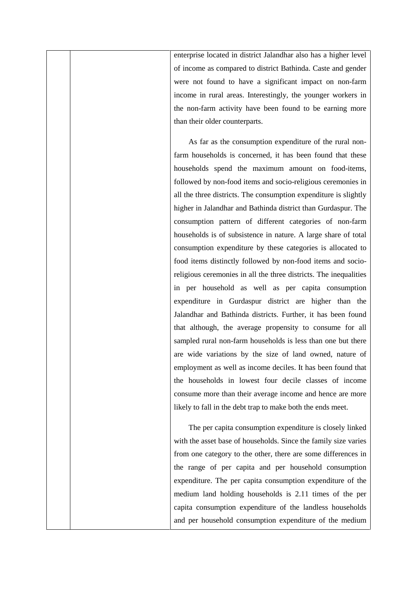enterprise located in district Jalandhar also has a higher level of income as compared to district Bathinda. Caste and gender were not found to have a significant impact on non-farm income in rural areas. Interestingly, the younger workers in the non-farm activity have been found to be earning more than their older counterparts.

As far as the consumption expenditure of the rural nonfarm households is concerned, it has been found that these households spend the maximum amount on food-items, followed by non-food items and socio-religious ceremonies in all the three districts. The consumption expenditure is slightly higher in Jalandhar and Bathinda district than Gurdaspur. The consumption pattern of different categories of non-farm households is of subsistence in nature. A large share of total consumption expenditure by these categories is allocated to food items distinctly followed by non-food items and socioreligious ceremonies in all the three districts. The inequalities in per household as well as per capita consumption expenditure in Gurdaspur district are higher than the Jalandhar and Bathinda districts. Further, it has been found that although, the average propensity to consume for all sampled rural non-farm households is less than one but there are wide variations by the size of land owned, nature of employment as well as income deciles. It has been found that the households in lowest four decile classes of income consume more than their average income and hence are more likely to fall in the debt trap to make both the ends meet.

The per capita consumption expenditure is closely linked with the asset base of households. Since the family size varies from one category to the other, there are some differences in the range of per capita and per household consumption expenditure. The per capita consumption expenditure of the medium land holding households is 2.11 times of the per capita consumption expenditure of the landless households and per household consumption expenditure of the medium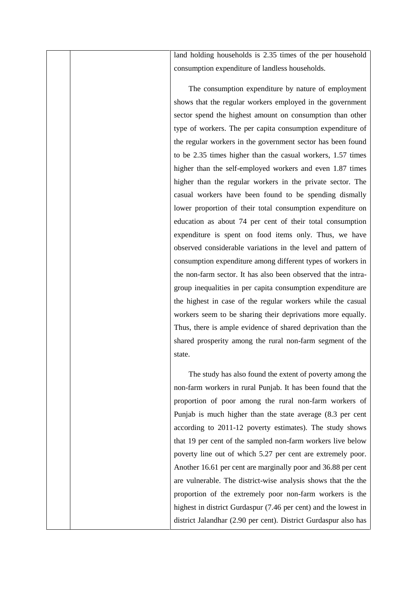land holding households is 2.35 times of the per household consumption expenditure of landless households.

The consumption expenditure by nature of employment shows that the regular workers employed in the government sector spend the highest amount on consumption than other type of workers. The per capita consumption expenditure of the regular workers in the government sector has been found to be 2.35 times higher than the casual workers, 1.57 times higher than the self-employed workers and even 1.87 times higher than the regular workers in the private sector. The casual workers have been found to be spending dismally lower proportion of their total consumption expenditure on education as about 74 per cent of their total consumption expenditure is spent on food items only. Thus, we have observed considerable variations in the level and pattern of consumption expenditure among different types of workers in the non-farm sector. It has also been observed that the intra group inequalities in per capita consumption expenditure are the highest in case of the regular workers while the casual workers seem to be sharing their deprivations more equally. Thus, there is ample evidence of shared deprivation than the shared prosperity among the rural non-farm segment of the state.

The study has also found the extent of poverty among the non-farm workers in rural Punjab. It has been found that the proportion of poor among the rural non-farm workers of Punjab is much higher than the state average (8.3 per cent according to 2011-12 poverty estimates). The study shows that 19 per cent of the sampled non-farm workers live below poverty line out of which 5.27 per cent are extremely poor. Another 16.61 per cent are marginally poor and 36.88 per cent are vulnerable. The district-wise analysis shows that the the proportion of the extremely poor non-farm workers is the highest in district Gurdaspur (7.46 per cent) and the lowest in district Jalandhar (2.90 per cent). District Gurdaspur also has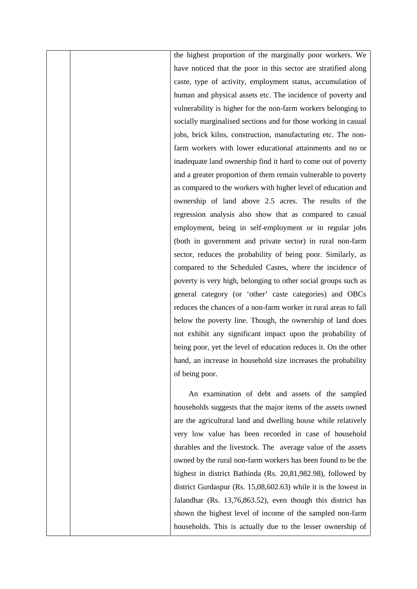the highest proportion of the marginally poor workers. We have noticed that the poor in this sector are stratified along caste, type of activity, employment status, accumulation of human and physical assets etc. The incidence of poverty and vulnerability is higher for the non-farm workers belonging to socially marginalised sections and for those working in casual jobs, brick kilns, construction, manufacturing etc. The nonfarm workers with lower educational attainments and no or inadequate land ownership find it hard to come out of poverty and a greater proportion of them remain vulnerable to poverty as compared to the workers with higher level of education and ownership of land above 2.5 acres. The results of the regression analysis also show that as compared to casual employment, being in self-employment or in regular jobs (both in government and private sector) in rural non-farm sector, reduces the probability of being poor. Similarly, as compared to the Scheduled Castes, where the incidence of poverty is very high, belonging to other social groups such as general category (or 'other' caste categories) and OBCs reduces the chances of a non-farm worker in rural areas to fall below the poverty line. Though, the ownership of land does not exhibit any significant impact upon the probability of being poor, yet the level of education reduces it. On the other hand, an increase in household size increases the probability of being poor.

An examination of debt and assets of the sampled households suggests that the major items of the assets owned are the agricultural land and dwelling house while relatively very low value has been recorded in case of household durables and the livestock. The average value of the assets owned by the rural non-farm workers has been found to be the highest in district Bathinda (Rs. 20,81,982.98), followed by district Gurdaspur (Rs. 15,08,602.63) while it is the lowest in Jalandhar (Rs. 13,76,863.52), even though this district has shown the highest level of income of the sampled non-farm households. This is actually due to the lesser ownership of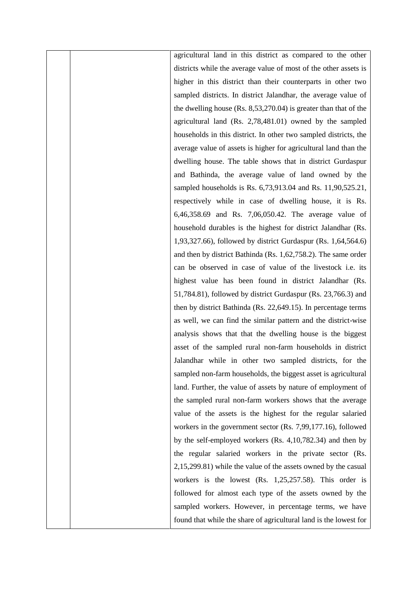agricultural land in this district as compared to the other districts while the average value of most of the other assets is higher in this district than their counterparts in other two sampled districts. In district Jalandhar, the average value of the dwelling house (Rs. 8,53,270.04) is greater than that of the agricultural land (Rs. 2,78,481.01) owned by the sampled households in this district. In other two sampled districts, the average value of assets is higher for agricultural land than the dwelling house. The table shows that in district Gurdaspur and Bathinda, the average value of land owned by the sampled households is Rs. 6,73,913.04 and Rs. 11,90,525.21, respectively while in case of dwelling house, it is Rs. 6,46,358.69 and Rs. 7,06,050.42. The average value of household durables is the highest for district Jalandhar (Rs. 1,93,327.66), followed by district Gurdaspur (Rs. 1,64,564.6) and then by district Bathinda (Rs. 1,62,758.2). The same order can be observed in case of value of the livestock i.e. its highest value has been found in district Jalandhar (Rs. 51,784.81), followed by district Gurdaspur (Rs. 23,766.3) and then by district Bathinda (Rs. 22,649.15). In percentage terms as well, we can find the similar pattern and the district-wise analysis shows that that the dwelling house is the biggest asset of the sampled rural non-farm households in district Jalandhar while in other two sampled districts, for the sampled non-farm households, the biggest asset is agricultural land. Further, the value of assets by nature of employment of the sampled rural non-farm workers shows that the average value of the assets is the highest for the regular salaried workers in the government sector (Rs. 7,99,177.16), followed by the self-employed workers (Rs. 4,10,782.34) and then by the regular salaried workers in the private sector (Rs. 2,15,299.81) while the value of the assets owned by the casual workers is the lowest (Rs. 1,25,257.58). This order is followed for almost each type of the assets owned by the sampled workers. However, in percentage terms, we have found that while the share of agricultural land is the lowest for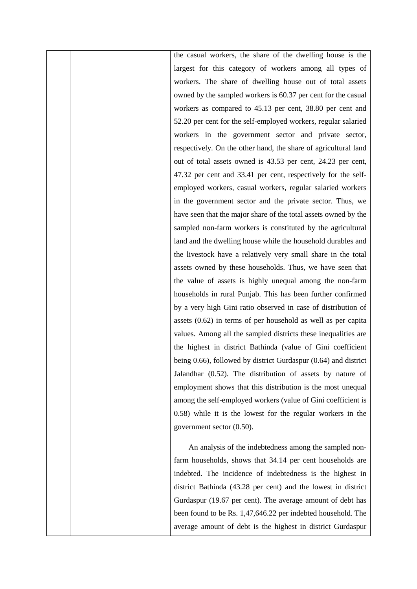the casual workers, the share of the dwelling house is the largest for this category of workers among all types of workers. The share of dwelling house out of total assets owned by the sampled workers is 60.37 per cent for the casual workers as compared to 45.13 per cent, 38.80 per cent and 52.20 per cent for the self-employed workers, regular salaried workers in the government sector and private sector, respectively. On the other hand, the share of agricultural land out of total assets owned is 43.53 per cent, 24.23 per cent, 47.32 per cent and 33.41 per cent, respectively for the self employed workers, casual workers, regular salaried workers in the government sector and the private sector. Thus, we have seen that the major share of the total assets owned by the sampled non-farm workers is constituted by the agricultural land and the dwelling house while the household durables and the livestock have a relatively very small share in the total assets owned by these households. Thus, we have seen that the value of assets is highly unequal among the non-farm households in rural Punjab. This has been further confirmed by a very high Gini ratio observed in case of distribution of assets (0.62) in terms of per household as well as per capita values. Among all the sampled districts these inequalities are the highest in district Bathinda (value of Gini coefficient being 0.66), followed by district Gurdaspur (0.64) and district Jalandhar (0.52). The distribution of assets by nature of employment shows that this distribution is the most unequal among the self-employed workers (value of Gini coefficient is 0.58) while it is the lowest for the regular workers in the government sector (0.50).

An analysis of the indebtedness among the sampled nonfarm households, shows that 34.14 per cent households are indebted. The incidence of indebtedness is the highest in district Bathinda (43.28 per cent) and the lowest in district Gurdaspur (19.67 per cent). The average amount of debt has been found to be Rs. 1,47,646.22 per indebted household. The average amount of debt is the highest in district Gurdaspur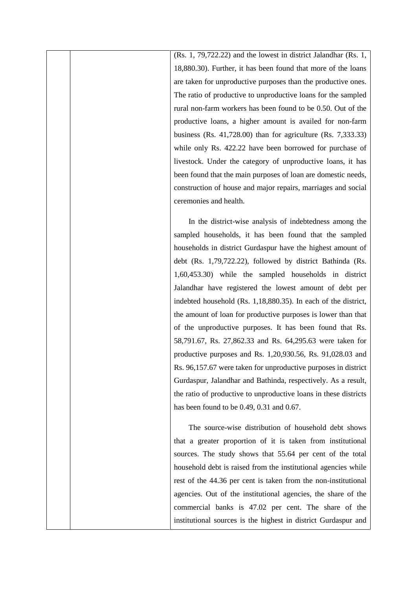(Rs. 1, 79,722.22) and the lowest in district Jalandhar (Rs. 1, 18,880.30). Further, it has been found that more of the loans are taken for unproductive purposes than the productive ones. The ratio of productive to unproductive loans for the sampled rural non-farm workers has been found to be 0.50. Out of the productive loans, a higher amount is availed for non-farm business (Rs. 41,728.00) than for agriculture (Rs. 7,333.33) while only Rs. 422.22 have been borrowed for purchase of livestock. Under the category of unproductive loans, it has been found that the main purposes of loan are domestic needs, construction of house and major repairs, marriages and social ceremonies and health.

In the district-wise analysis of indebtedness among the sampled households, it has been found that the sampled households in district Gurdaspur have the highest amount of debt (Rs. 1,79,722.22), followed by district Bathinda (Rs. 1,60,453.30) while the sampled households in district Jalandhar have registered the lowest amount of debt per indebted household (Rs. 1,18,880.35). In each of the district, the amount of loan for productive purposes is lower than that of the unproductive purposes. It has been found that Rs. 58,791.67, Rs. 27,862.33 and Rs. 64,295.63 were taken for productive purposes and Rs. 1,20,930.56, Rs. 91,028.03 and Rs. 96,157.67 were taken for unproductive purposes in district Gurdaspur, Jalandhar and Bathinda, respectively. As a result, the ratio of productive to unproductive loans in these districts has been found to be 0.49, 0.31 and 0.67.

The source-wise distribution of household debt shows that a greater proportion of it is taken from institutional sources. The study shows that 55.64 per cent of the total household debt is raised from the institutional agencies while rest of the 44.36 per cent is taken from the non-institutional agencies. Out of the institutional agencies, the share of the commercial banks is 47.02 per cent. The share of the institutional sources is the highest in district Gurdaspur and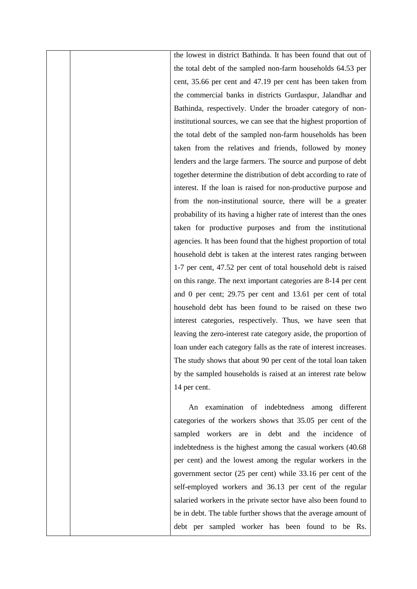the lowest in district Bathinda. It has been found that out of the total debt of the sampled non-farm households 64.53 per cent, 35.66 per cent and 47.19 per cent has been taken from the commercial banks in districts Gurdaspur, Jalandhar and Bathinda, respectively. Under the broader category of noninstitutional sources, we can see that the highest proportion of the total debt of the sampled non-farm households has been taken from the relatives and friends, followed by money lenders and the large farmers. The source and purpose of debt together determine the distribution of debt according to rate of interest. If the loan is raised for non-productive purpose and from the non-institutional source, there will be a greater probability of its having a higher rate of interest than the ones taken for productive purposes and from the institutional agencies. It has been found that the highest proportion of total household debt is taken at the interest rates ranging between 1-7 per cent, 47.52 per cent of total household debt is raised on this range. The next important categories are 8-14 per cent and 0 per cent; 29.75 per cent and 13.61 per cent of total household debt has been found to be raised on these two interest categories, respectively. Thus, we have seen that leaving the zero-interest rate category aside, the proportion of loan under each category falls as the rate of interest increases. The study shows that about 90 per cent of the total loan taken by the sampled households is raised at an interest rate below 14 per cent.

An examination of indebtedness among different categories of the workers shows that 35.05 per cent of the sampled workers are in debt and the incidence of indebtedness is the highest among the casual workers (40.68 per cent) and the lowest among the regular workers in the government sector (25 per cent) while 33.16 per cent of the self-employed workers and 36.13 per cent of the regular salaried workers in the private sector have also been found to be in debt. The table further shows that the average amount of debt per sampled worker has been found to be Rs.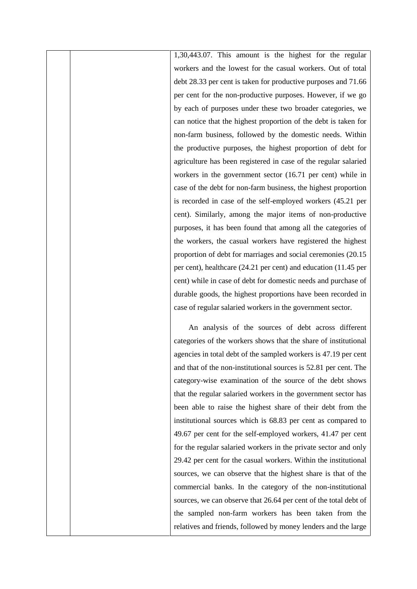1,30,443.07. This amount is the highest for the regular workers and the lowest for the casual workers. Out of total debt 28.33 per cent is taken for productive purposes and 71.66 per cent for the non-productive purposes. However, if we go by each of purposes under these two broader categories, we can notice that the highest proportion of the debt is taken for non-farm business, followed by the domestic needs. Within the productive purposes, the highest proportion of debt for agriculture has been registered in case of the regular salaried workers in the government sector (16.71 per cent) while in case of the debt for non-farm business, the highest proportion is recorded in case of the self-employed workers (45.21 per cent). Similarly, among the major items of non-productive purposes, it has been found that among all the categories of the workers, the casual workers have registered the highest proportion of debt for marriages and social ceremonies (20.15 per cent), healthcare (24.21 per cent) and education (11.45 per cent) while in case of debt for domestic needs and purchase of durable goods, the highest proportions have been recorded in case of regular salaried workers in the government sector.

An analysis of the sources of debt across different categories of the workers shows that the share of institutional agencies in total debt of the sampled workers is 47.19 per cent and that of the non-institutional sources is 52.81 per cent. The category-wise examination of the source of the debt shows that the regular salaried workers in the government sector has been able to raise the highest share of their debt from the institutional sources which is 68.83 per cent as compared to 49.67 per cent for the self-employed workers, 41.47 per cent for the regular salaried workers in the private sector and only 29.42 per cent for the casual workers. Within the institutional sources, we can observe that the highest share is that of the commercial banks. In the category of the non-institutional sources, we can observe that 26.64 per cent of the total debt of the sampled non-farm workers has been taken from the relatives and friends, followed by money lenders and the large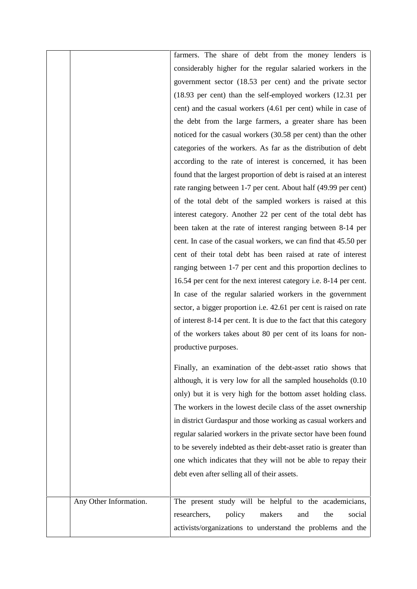|                        | farmers. The share of debt from the money lenders is                           |
|------------------------|--------------------------------------------------------------------------------|
|                        |                                                                                |
|                        | considerably higher for the regular salaried workers in the                    |
|                        | government sector (18.53 per cent) and the private sector                      |
|                        | $(18.93 \text{ per cent})$ than the self-employed workers $(12.31 \text{ per}$ |
|                        | cent) and the casual workers (4.61 per cent) while in case of                  |
|                        | the debt from the large farmers, a greater share has been                      |
|                        | noticed for the casual workers (30.58 per cent) than the other                 |
|                        | categories of the workers. As far as the distribution of debt                  |
|                        | according to the rate of interest is concerned, it has been                    |
|                        | found that the largest proportion of debt is raised at an interest             |
|                        | rate ranging between 1-7 per cent. About half (49.99 per cent)                 |
|                        | of the total debt of the sampled workers is raised at this                     |
|                        | interest category. Another 22 per cent of the total debt has                   |
|                        | been taken at the rate of interest ranging between 8-14 per                    |
|                        | cent. In case of the casual workers, we can find that 45.50 per                |
|                        | cent of their total debt has been raised at rate of interest                   |
|                        | ranging between 1-7 per cent and this proportion declines to                   |
|                        | 16.54 per cent for the next interest category i.e. 8-14 per cent.              |
|                        | In case of the regular salaried workers in the government                      |
|                        | sector, a bigger proportion i.e. 42.61 per cent is raised on rate              |
|                        | of interest 8-14 per cent. It is due to the fact that this category            |
|                        | of the workers takes about 80 per cent of its loans for non-                   |
|                        | productive purposes.                                                           |
|                        |                                                                                |
|                        | Finally, an examination of the debt-asset ratio shows that                     |
|                        | although, it is very low for all the sampled households $(0.10)$               |
|                        | only) but it is very high for the bottom asset holding class.                  |
|                        | The workers in the lowest decile class of the asset ownership                  |
|                        | in district Gurdaspur and those working as casual workers and                  |
|                        | regular salaried workers in the private sector have been found                 |
|                        | to be severely indebted as their debt-asset ratio is greater than              |
|                        | one which indicates that they will not be able to repay their                  |
|                        | debt even after selling all of their assets.                                   |
|                        |                                                                                |
| Any Other Information. | The present study will be helpful to the academicians,                         |
|                        | policy<br>makers<br>researchers,<br>and<br>the<br>social                       |
|                        | activists/organizations to understand the problems and the                     |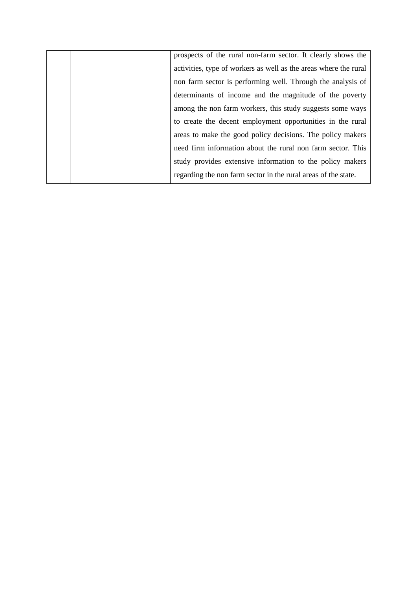|  | prospects of the rural non-farm sector. It clearly shows the     |  |
|--|------------------------------------------------------------------|--|
|  | activities, type of workers as well as the areas where the rural |  |
|  | non farm sector is performing well. Through the analysis of      |  |
|  | determinants of income and the magnitude of the poverty          |  |
|  | among the non farm workers, this study suggests some ways        |  |
|  | to create the decent employment opportunities in the rural       |  |
|  | areas to make the good policy decisions. The policy makers       |  |
|  | need firm information about the rural non farm sector. This      |  |
|  | study provides extensive information to the policy makers        |  |
|  | regarding the non farm sector in the rural areas of the state.   |  |
|  |                                                                  |  |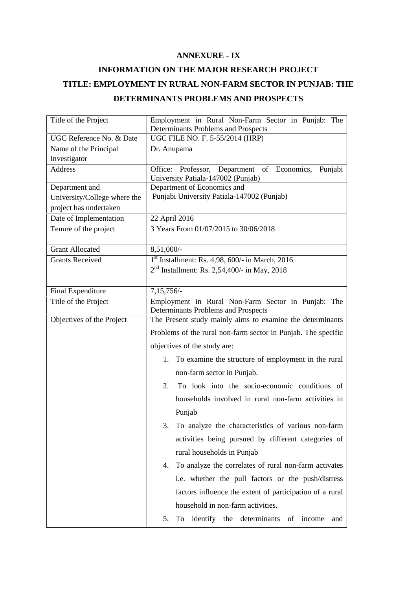#### **ANNEXURE - IX**

## **INFORMATION ON THE MAJOR RESEARCH PROJECT TITLE: EMPLOYMENT IN RURAL NON-FARM SECTOR IN PUNJAB: THE DETERMINANTS PROBLEMS AND PROSPECTS**

| Title of the Project         | Employment in Rural Non-Farm Sector in Punjab: The                                           |
|------------------------------|----------------------------------------------------------------------------------------------|
| UGC Reference No. & Date     | Determinants Problems and Prospects<br>UGC FILE NO. F. 5-55/2014 (HRP)                       |
| Name of the Principal        | Dr. Anupama                                                                                  |
| Investigator                 |                                                                                              |
| Address                      | Office: Professor, Department of Economics,<br>Punjabi<br>University Patiala-147002 (Punjab) |
| Department and               | Department of Economics and                                                                  |
| University/College where the | Punjabi University Patiala-147002 (Punjab)                                                   |
| project has undertaken       |                                                                                              |
| Date of Implementation       | 22 April 2016                                                                                |
| Tenure of the project        | 3 Years From 01/07/2015 to 30/06/2018                                                        |
| <b>Grant Allocated</b>       | 8,51,000/-                                                                                   |
| <b>Grants Received</b>       | $1st$ Installment: Rs. 4,98, 600/- in March, 2016                                            |
|                              | $2nd$ Installment: Rs. 2,54,400/- in May, 2018                                               |
|                              |                                                                                              |
| <b>Final Expenditure</b>     | $7,15,756/-$                                                                                 |
| Title of the Project         | Employment in Rural Non-Farm Sector in Punjab: The<br>Determinants Problems and Prospects    |
| Objectives of the Project    | The Present study mainly aims to examine the determinants                                    |
|                              | Problems of the rural non-farm sector in Punjab. The specific                                |
|                              | objectives of the study are:                                                                 |
|                              | To examine the structure of employment in the rural<br>1.                                    |
|                              | non-farm sector in Punjab.                                                                   |
|                              | To look into the socio-economic conditions of<br>2.                                          |
|                              | households involved in rural non-farm activities in                                          |
|                              | Punjab                                                                                       |
|                              | 3. To analyze the characteristics of various non-farm                                        |
|                              | activities being pursued by different categories of                                          |
|                              | rural households in Punjab                                                                   |
|                              | To analyze the correlates of rural non-farm activates<br>4.                                  |
|                              | i.e. whether the pull factors or the push/distress                                           |
|                              | factors influence the extent of participation of a rural                                     |
|                              | household in non-farm activities.                                                            |
|                              |                                                                                              |
|                              | To identify the determinants<br>of income<br>5.<br>and                                       |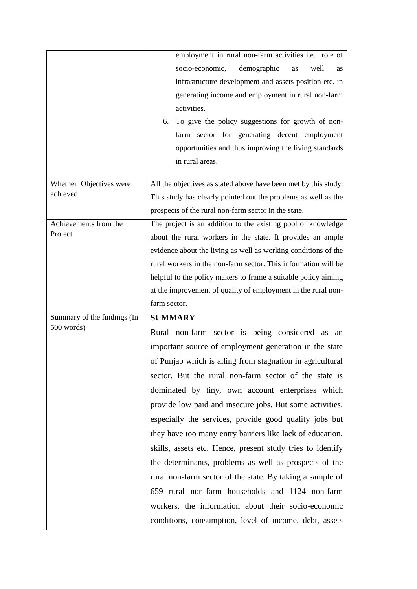|                                     | employment in rural non-farm activities i.e. role of            |
|-------------------------------------|-----------------------------------------------------------------|
|                                     | socio-economic,<br>demographic<br>well<br>as<br>as              |
|                                     | infrastructure development and assets position etc. in          |
|                                     | generating income and employment in rural non-farm              |
|                                     | activities.                                                     |
|                                     | 6. To give the policy suggestions for growth of non-            |
|                                     | farm sector for generating decent employment                    |
|                                     | opportunities and thus improving the living standards           |
|                                     | in rural areas.                                                 |
|                                     |                                                                 |
| Whether Objectives were<br>achieved | All the objectives as stated above have been met by this study. |
|                                     | This study has clearly pointed out the problems as well as the  |
|                                     | prospects of the rural non-farm sector in the state.            |
| Achievements from the<br>Project    | The project is an addition to the existing pool of knowledge    |
|                                     | about the rural workers in the state. It provides an ample      |
|                                     | evidence about the living as well as working conditions of the  |
|                                     | rural workers in the non-farm sector. This information will be  |
|                                     | helpful to the policy makers to frame a suitable policy aiming  |
|                                     |                                                                 |
|                                     | at the improvement of quality of employment in the rural non-   |
|                                     | farm sector.                                                    |
| Summary of the findings (In         | <b>SUMMARY</b>                                                  |
| 500 words)                          | Rural non-farm sector is being considered as<br>an              |
|                                     | important source of employment generation in the state          |
|                                     | of Punjab which is ailing from stagnation in agricultural       |
|                                     | sector. But the rural non-farm sector of the state is           |
|                                     | dominated by tiny, own account enterprises which                |
|                                     | provide low paid and insecure jobs. But some activities,        |
|                                     | especially the services, provide good quality jobs but          |
|                                     | they have too many entry barriers like lack of education,       |
|                                     | skills, assets etc. Hence, present study tries to identify      |
|                                     | the determinants, problems as well as prospects of the          |
|                                     | rural non-farm sector of the state. By taking a sample of       |
|                                     | 659 rural non-farm households and 1124 non-farm                 |
|                                     | workers, the information about their socio-economic             |
|                                     | conditions, consumption, level of income, debt, assets          |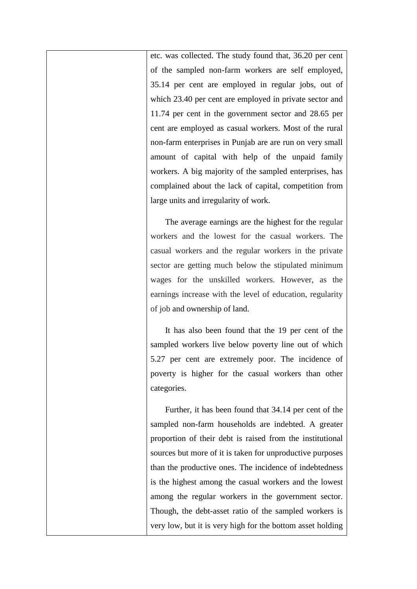etc. was collected. The study found that, 36.20 per cent of the sampled non-farm workers are self employed, 35.14 per cent are employed in regular jobs, out of which 23.40 per cent are employed in private sector and 11.74 per cent in the government sector and 28.65 per cent are employed as casual workers. Most of the rural non-farm enterprises in Punjab are are run on very small amount of capital with help of the unpaid family workers. A big majority of the sampled enterprises, has complained about the lack of capital, competition from large units and irregularity of work.

The average earnings are the highest for the regular workers and the lowest for the casual workers. The casual workers and the regular workers in the private sector are getting much below the stipulated minimum wages for the unskilled workers. However, as the earnings increase with the level of education, regularity of job and ownership of land.

It has also been found that the 19 per cent of the sampled workers live below poverty line out of which 5.27 per cent are extremely poor. The incidence of poverty is higher for the casual workers than other categories.

Further, it has been found that 34.14 per cent of the sampled non-farm households are indebted. A greater proportion of their debt is raised from the institutional sources but more of it is taken for unproductive purposes than the productive ones. The incidence of indebtedness is the highest among the casual workers and the lowest among the regular workers in the government sector. Though, the debt-asset ratio of the sampled workers is very low, but it is very high for the bottom asset holding